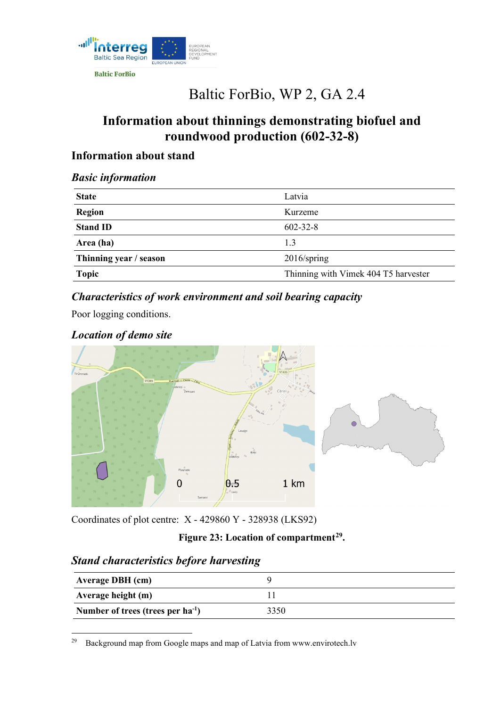

**Baltic ForBio** 

# Baltic ForBio, WP 2, GA 2.4

# **Information about thinnings demonstrating biofuel and roundwood production (602-32-8)**

# **Information about stand**

#### *Basic information*

| <b>State</b>           | Latvia                               |
|------------------------|--------------------------------------|
| <b>Region</b>          | Kurzeme                              |
| <b>Stand ID</b>        | $602 - 32 - 8$                       |
| Area (ha)              | 1.3                                  |
| Thinning year / season | $2016$ /spring                       |
| Topic                  | Thinning with Vimek 404 T5 harvester |
|                        |                                      |

# *Characteristics of work environment and soil bearing capacity*

Poor logging conditions.

# *Location of demo site*



Coordinates of plot centre: X - 429860 Y - 328938 (LKS92)

#### **Figure 23: Location of compartment[29](#page-0-0).**

# *Stand characteristics before harvesting*

| <b>Average DBH</b> (cm)                |      |
|----------------------------------------|------|
| Average height (m)                     |      |
| Number of trees (trees per $ha^{-1}$ ) | 3350 |

<span id="page-0-0"></span><sup>29</sup> [Background map from Google maps and map of Latvia from www.envirotech.lv](http://www.envirotech.lv/)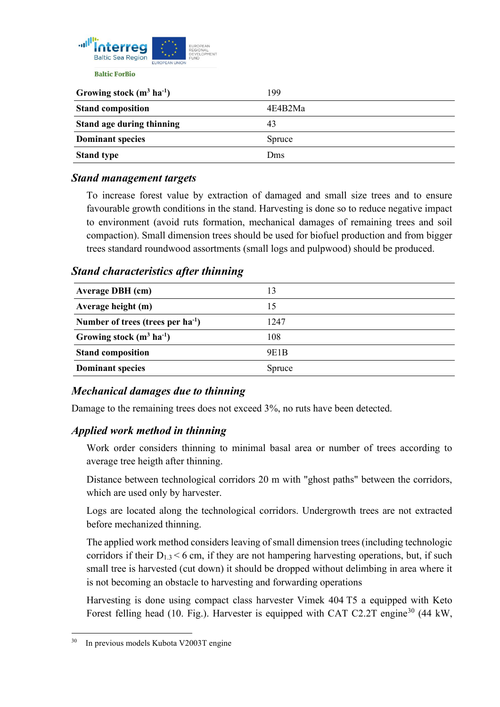

| Growing stock $(m^3 \text{ ha}^{-1})$ | 199     |
|---------------------------------------|---------|
| <b>Stand composition</b>              | 4E4B2Ma |
| Stand age during thinning             | 43      |
| <b>Dominant species</b>               | Spruce  |
| <b>Stand type</b>                     | Dms     |

#### *Stand management targets*

To increase forest value by extraction of damaged and small size trees and to ensure favourable growth conditions in the stand. Harvesting is done so to reduce negative impact to environment (avoid ruts formation, mechanical damages of remaining trees and soil compaction). Small dimension trees should be used for biofuel production and from bigger trees standard roundwood assortments (small logs and pulpwood) should be produced.

#### *Stand characteristics after thinning*

| <b>Average DBH</b> (cm)                | 13     |
|----------------------------------------|--------|
| Average height (m)                     | 15     |
| Number of trees (trees per $ha^{-1}$ ) | 1247   |
| Growing stock $(m^3 \text{ ha}^{-1})$  | 108    |
| <b>Stand composition</b>               | 9E1B   |
| <b>Dominant species</b>                | Spruce |
|                                        |        |

# *Mechanical damages due to thinning*

Damage to the remaining trees does not exceed 3%, no ruts have been detected.

#### *Applied work method in thinning*

Work order considers thinning to minimal basal area or number of trees according to average tree heigth after thinning.

Distance between technological corridors 20 m with "ghost paths" between the corridors, which are used only by harvester.

Logs are located along the technological corridors. Undergrowth trees are not extracted before mechanized thinning.

The applied work method considers leaving of small dimension trees (including technologic corridors if their  $D_{1,3} < 6$  cm, if they are not hampering harvesting operations, but, if such small tree is harvested (cut down) it should be dropped without delimbing in area where it is not becoming an obstacle to harvesting and forwarding operations

Harvesting is done using compact class harvester Vimek 404 T5 a equipped with Keto Forest felling head (10. Fig.). Harvester is equipped with CAT C2.2T engine<sup>[30](#page-1-0)</sup> (44 kW,

<span id="page-1-0"></span>In previous models Kubota V2003T engine